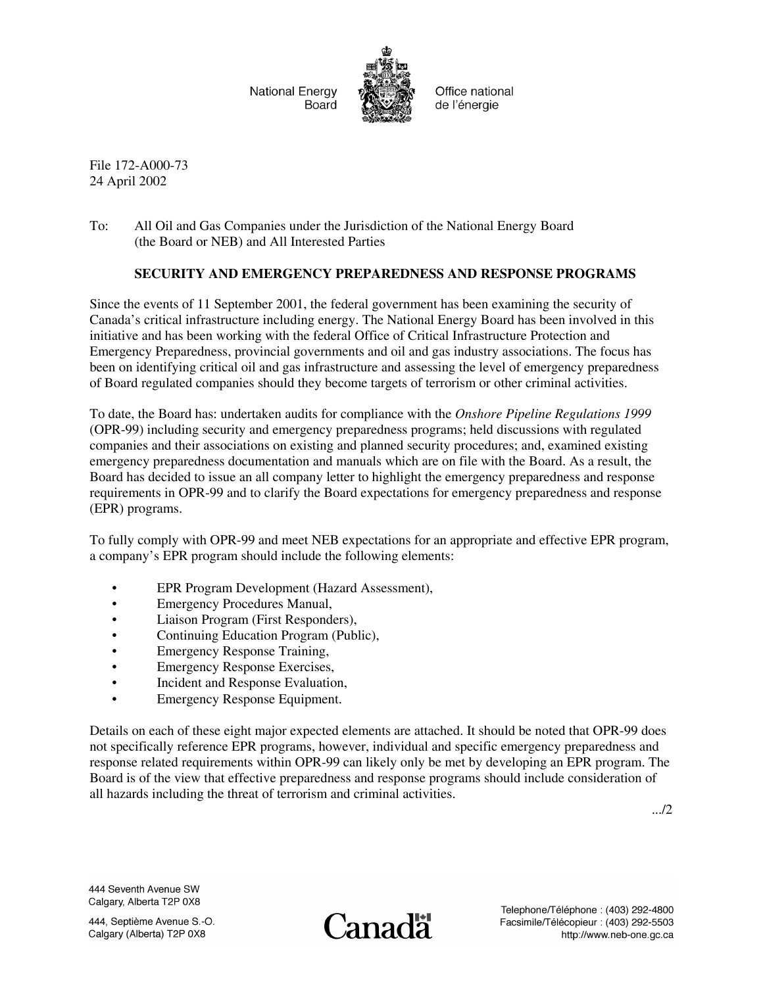

File 172-A000-73 24 April 2002

To: All Oil and Gas Companies under the Jurisdiction of the National Energy Board (the Board or NEB) and All Interested Parties

#### **SECURITY AND EMERGENCY PREPAREDNESS AND RESPONSE PROGRAMS**

Since the events of 11 September 2001, the federal government has been examining the security of Canada's critical infrastructure including energy. The National Energy Board has been involved in this initiative and has been working with the federal Office of Critical Infrastructure Protection and Emergency Preparedness, provincial governments and oil and gas industry associations. The focus has been on identifying critical oil and gas infrastructure and assessing the level of emergency preparedness of Board regulated companies should they become targets of terrorism or other criminal activities.

To date, the Board has: undertaken audits for compliance with the *Onshore Pipeline Regulations 1999* (OPR-99) including security and emergency preparedness programs; held discussions with regulated companies and their associations on existing and planned security procedures; and, examined existing emergency preparedness documentation and manuals which are on file with the Board. As a result, the Board has decided to issue an all company letter to highlight the emergency preparedness and response requirements in OPR-99 and to clarify the Board expectations for emergency preparedness and response (EPR) programs.

To fully comply with OPR-99 and meet NEB expectations for an appropriate and effective EPR program, a company's EPR program should include the following elements:

- EPR Program Development (Hazard Assessment),
- Emergency Procedures Manual,
- Liaison Program (First Responders),
- Continuing Education Program (Public),
- Emergency Response Training,
- Emergency Response Exercises,
- Incident and Response Evaluation,
- Emergency Response Equipment.

Details on each of these eight major expected elements are attached. It should be noted that OPR-99 does not specifically reference EPR programs, however, individual and specific emergency preparedness and response related requirements within OPR-99 can likely only be met by developing an EPR program. The Board is of the view that effective preparedness and response programs should include consideration of all hazards including the threat of terrorism and criminal activities.

.../2

444 Seventh Avenue SW Calgary, Alberta T2P 0X8

**Canada**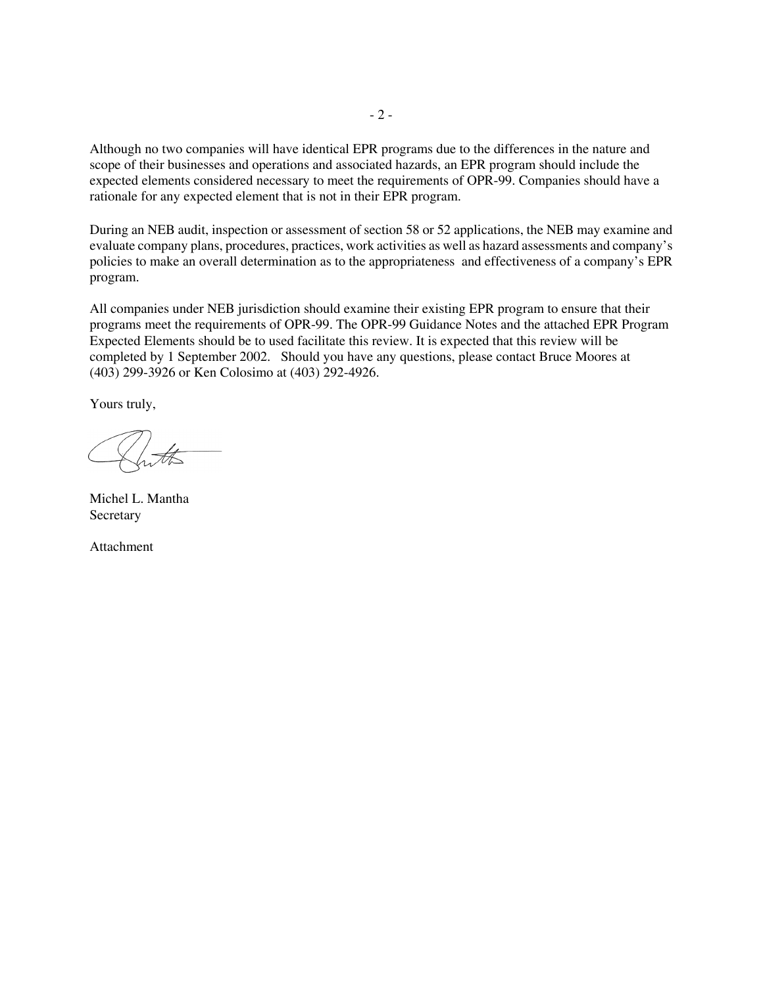Although no two companies will have identical EPR programs due to the differences in the nature and scope of their businesses and operations and associated hazards, an EPR program should include the expected elements considered necessary to meet the requirements of OPR-99. Companies should have a rationale for any expected element that is not in their EPR program.

During an NEB audit, inspection or assessment of section 58 or 52 applications, the NEB may examine and evaluate company plans, procedures, practices, work activities as well as hazard assessments and company's policies to make an overall determination as to the appropriateness and effectiveness of a company's EPR program.

All companies under NEB jurisdiction should examine their existing EPR program to ensure that their programs meet the requirements of OPR-99. The OPR-99 Guidance Notes and the attached EPR Program Expected Elements should be to used facilitate this review. It is expected that this review will be completed by 1 September 2002. Should you have any questions, please contact Bruce Moores at (403) 299-3926 or Ken Colosimo at (403) 292-4926.

Yours truly,

Michel L. Mantha **Secretary** 

Attachment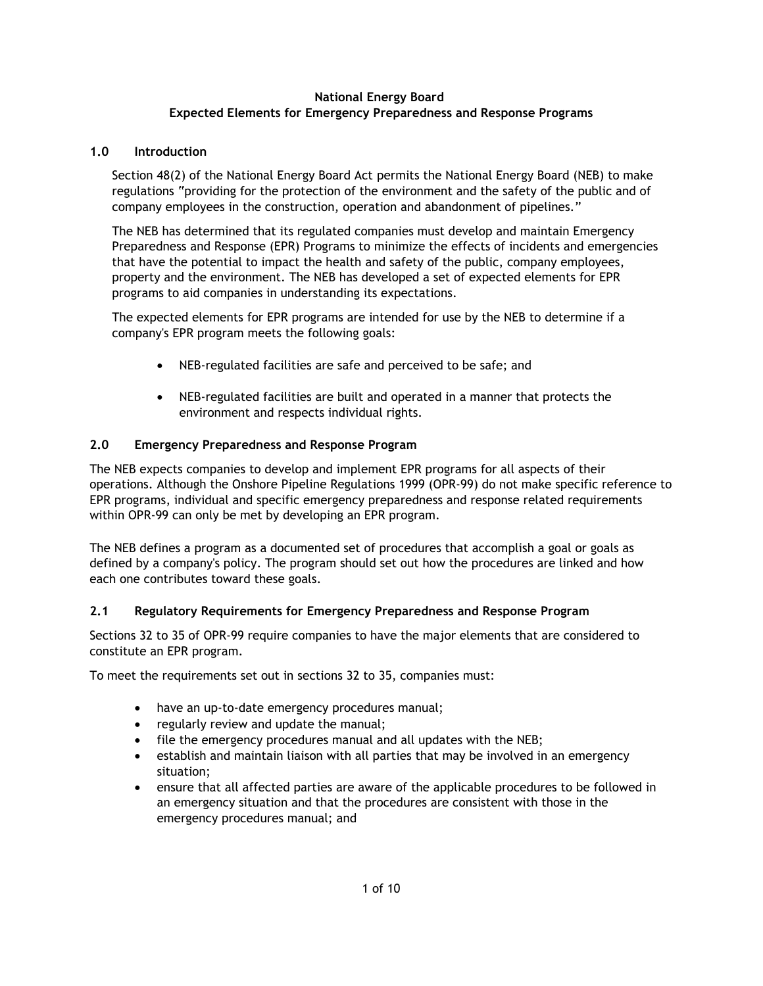#### **National Energy Board Expected Elements for Emergency Preparedness and Response Programs**

### **1.0 Introduction**

Section 48(2) of the National Energy Board Act permits the National Energy Board (NEB) to make regulations "providing for the protection of the environment and the safety of the public and of company employees in the construction, operation and abandonment of pipelines."

The NEB has determined that its regulated companies must develop and maintain Emergency Preparedness and Response (EPR) Programs to minimize the effects of incidents and emergencies that have the potential to impact the health and safety of the public, company employees, property and the environment. The NEB has developed a set of expected elements for EPR programs to aid companies in understanding its expectations.

The expected elements for EPR programs are intended for use by the NEB to determine if a company's EPR program meets the following goals:

- NEB-regulated facilities are safe and perceived to be safe; and
- NEB-regulated facilities are built and operated in a manner that protects the environment and respects individual rights.

## **2.0 Emergency Preparedness and Response Program**

The NEB expects companies to develop and implement EPR programs for all aspects of their operations. Although the Onshore Pipeline Regulations 1999 (OPR-99) do not make specific reference to EPR programs, individual and specific emergency preparedness and response related requirements within OPR-99 can only be met by developing an EPR program.

The NEB defines a program as a documented set of procedures that accomplish a goal or goals as defined by a company's policy. The program should set out how the procedures are linked and how each one contributes toward these goals.

## **2.1 Regulatory Requirements for Emergency Preparedness and Response Program**

Sections 32 to 35 of OPR-99 require companies to have the major elements that are considered to constitute an EPR program.

To meet the requirements set out in sections 32 to 35, companies must:

- have an up-to-date emergency procedures manual;
- regularly review and update the manual;
- file the emergency procedures manual and all updates with the NEB;
- establish and maintain liaison with all parties that may be involved in an emergency situation;
- ensure that all affected parties are aware of the applicable procedures to be followed in an emergency situation and that the procedures are consistent with those in the emergency procedures manual; and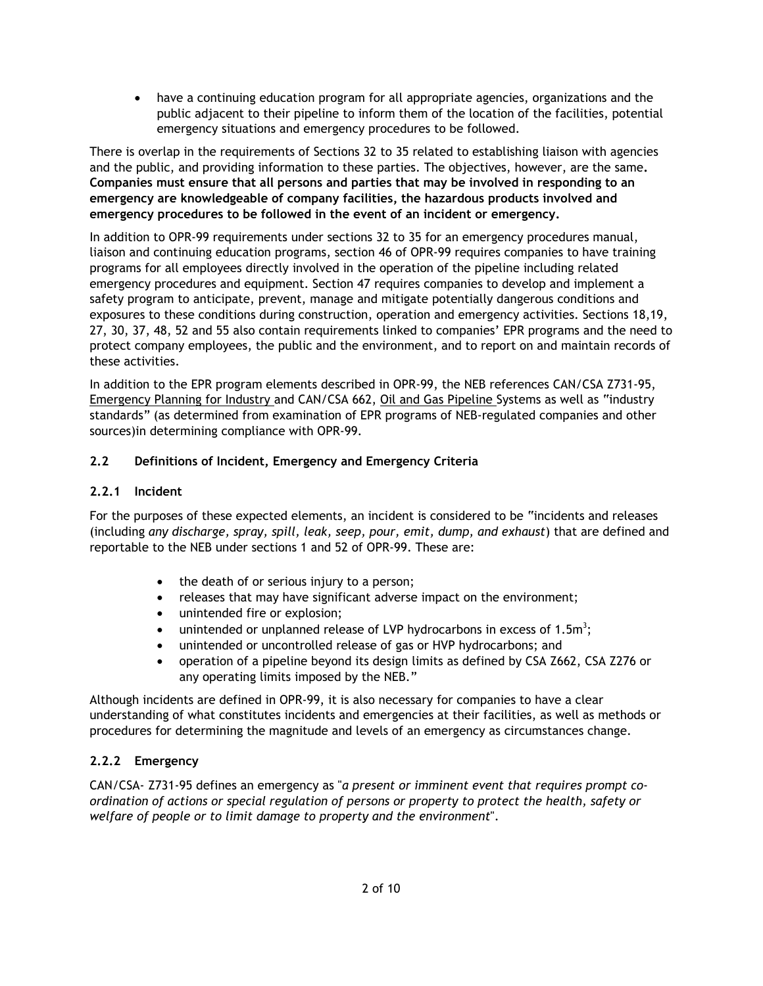• have a continuing education program for all appropriate agencies, organizations and the public adjacent to their pipeline to inform them of the location of the facilities, potential emergency situations and emergency procedures to be followed.

There is overlap in the requirements of Sections 32 to 35 related to establishing liaison with agencies and the public, and providing information to these parties. The objectives, however, are the same**. Companies must ensure that all persons and parties that may be involved in responding to an emergency are knowledgeable of company facilities, the hazardous products involved and emergency procedures to be followed in the event of an incident or emergency.** 

In addition to OPR-99 requirements under sections 32 to 35 for an emergency procedures manual, liaison and continuing education programs, section 46 of OPR-99 requires companies to have training programs for all employees directly involved in the operation of the pipeline including related emergency procedures and equipment. Section 47 requires companies to develop and implement a safety program to anticipate, prevent, manage and mitigate potentially dangerous conditions and exposures to these conditions during construction, operation and emergency activities. Sections 18,19, 27, 30, 37, 48, 52 and 55 also contain requirements linked to companies' EPR programs and the need to protect company employees, the public and the environment, and to report on and maintain records of these activities.

In addition to the EPR program elements described in OPR-99, the NEB references CAN/CSA Z731-95, Emergency Planning for Industry and CAN/CSA 662, Oil and Gas Pipeline Systems as well as "industry standards" (as determined from examination of EPR programs of NEB-regulated companies and other sources)in determining compliance with OPR-99.

## **2.2 Definitions of Incident, Emergency and Emergency Criteria**

## **2.2.1 Incident**

For the purposes of these expected elements, an incident is considered to be "incidents and releases (including *any discharge, spray, spill, leak, seep, pour, emit, dump, and exhaust*) that are defined and reportable to the NEB under sections 1 and 52 of OPR-99. These are:

- the death of or serious injury to a person;
- releases that may have significant adverse impact on the environment;
- unintended fire or explosion;
- unintended or unplanned release of LVP hydrocarbons in excess of 1.5 $m^3$ ;
- unintended or uncontrolled release of gas or HVP hydrocarbons; and
- operation of a pipeline beyond its design limits as defined by CSA Z662, CSA Z276 or any operating limits imposed by the NEB."

Although incidents are defined in OPR-99, it is also necessary for companies to have a clear understanding of what constitutes incidents and emergencies at their facilities, as well as methods or procedures for determining the magnitude and levels of an emergency as circumstances change.

## **2.2.2 Emergency**

CAN/CSA- Z731-95 defines an emergency as "*a present or imminent event that requires prompt coordination of actions or special regulation of persons or property to protect the health, safety or welfare of people or to limit damage to property and the environment*".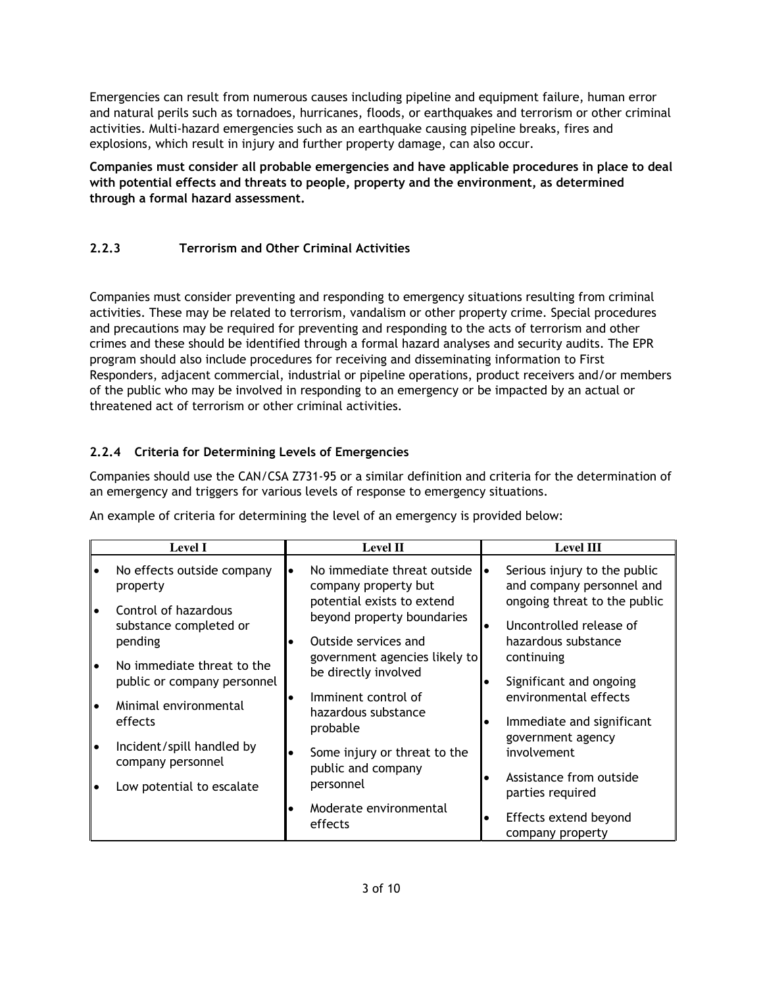Emergencies can result from numerous causes including pipeline and equipment failure, human error and natural perils such as tornadoes, hurricanes, floods, or earthquakes and terrorism or other criminal activities. Multi-hazard emergencies such as an earthquake causing pipeline breaks, fires and explosions, which result in injury and further property damage, can also occur.

**Companies must consider all probable emergencies and have applicable procedures in place to deal with potential effects and threats to people, property and the environment, as determined through a formal hazard assessment.**

# **2.2.3 Terrorism and Other Criminal Activities**

Companies must consider preventing and responding to emergency situations resulting from criminal activities. These may be related to terrorism, vandalism or other property crime. Special procedures and precautions may be required for preventing and responding to the acts of terrorism and other crimes and these should be identified through a formal hazard analyses and security audits. The EPR program should also include procedures for receiving and disseminating information to First Responders, adjacent commercial, industrial or pipeline operations, product receivers and/or members of the public who may be involved in responding to an emergency or be impacted by an actual or threatened act of terrorism or other criminal activities.

# **2.2.4 Criteria for Determining Levels of Emergencies**

Companies should use the CAN/CSA Z731-95 or a similar definition and criteria for the determination of an emergency and triggers for various levels of response to emergency situations.

| <b>Level I</b> |                                                           | <b>Level II</b> |                                                                                  | <b>Level III</b> |                                                                                |
|----------------|-----------------------------------------------------------|-----------------|----------------------------------------------------------------------------------|------------------|--------------------------------------------------------------------------------|
|                | No effects outside company<br>property                    |                 | No immediate threat outside<br>company property but                              |                  | Serious injury to the public<br>and company personnel and                      |
|                | Control of hazardous<br>substance completed or<br>pending |                 | potential exists to extend<br>beyond property boundaries<br>Outside services and |                  | ongoing threat to the public<br>Uncontrolled release of<br>hazardous substance |
| $\bullet$      | No immediate threat to the<br>public or company personnel |                 | government agencies likely to<br>be directly involved                            |                  | continuing<br>Significant and ongoing                                          |
|                | Minimal environmental<br>effects                          |                 | Imminent control of<br>hazardous substance<br>probable                           |                  | environmental effects<br>Immediate and significant                             |
| $\bullet$      | Incident/spill handled by<br>company personnel            |                 | Some injury or threat to the<br>public and company                               |                  | government agency<br>involvement                                               |
|                | Low potential to escalate                                 |                 | personnel                                                                        |                  | Assistance from outside<br>parties required                                    |
|                |                                                           |                 | Moderate environmental<br>effects                                                |                  | Effects extend beyond<br>company property                                      |

An example of criteria for determining the level of an emergency is provided below: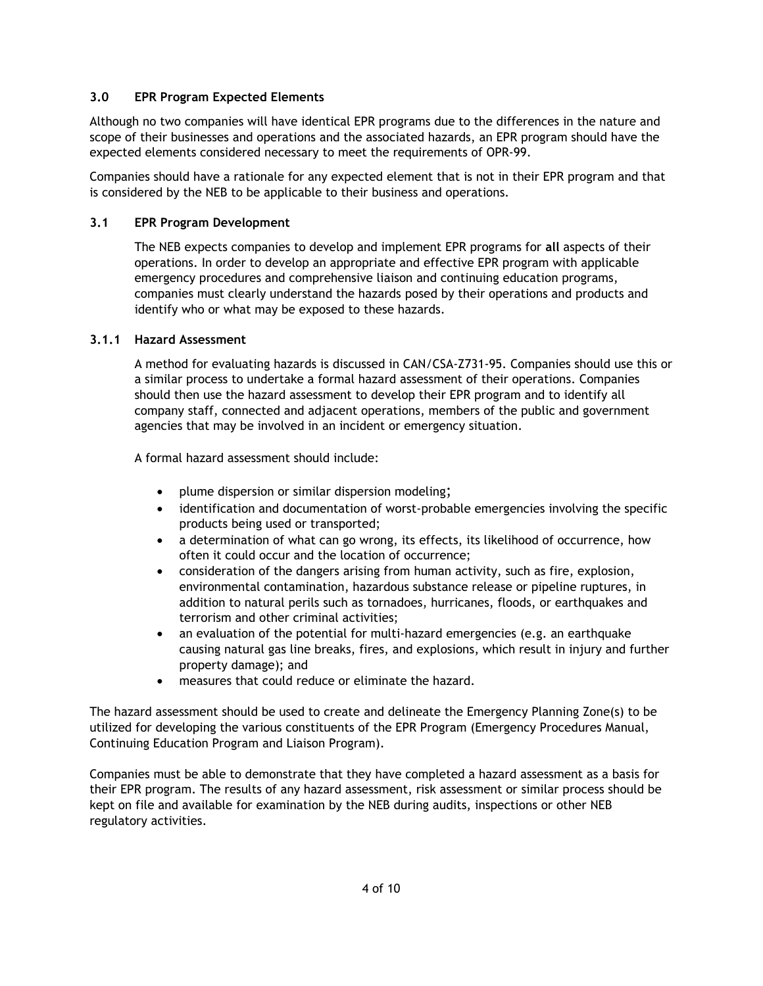### **3.0 EPR Program Expected Elements**

Although no two companies will have identical EPR programs due to the differences in the nature and scope of their businesses and operations and the associated hazards, an EPR program should have the expected elements considered necessary to meet the requirements of OPR-99.

Companies should have a rationale for any expected element that is not in their EPR program and that is considered by the NEB to be applicable to their business and operations.

#### **3.1 EPR Program Development**

The NEB expects companies to develop and implement EPR programs for **all** aspects of their operations. In order to develop an appropriate and effective EPR program with applicable emergency procedures and comprehensive liaison and continuing education programs, companies must clearly understand the hazards posed by their operations and products and identify who or what may be exposed to these hazards.

#### **3.1.1 Hazard Assessment**

A method for evaluating hazards is discussed in CAN/CSA-Z731-95. Companies should use this or a similar process to undertake a formal hazard assessment of their operations. Companies should then use the hazard assessment to develop their EPR program and to identify all company staff, connected and adjacent operations, members of the public and government agencies that may be involved in an incident or emergency situation.

A formal hazard assessment should include:

- plume dispersion or similar dispersion modeling;
- identification and documentation of worst-probable emergencies involving the specific products being used or transported;
- a determination of what can go wrong, its effects, its likelihood of occurrence, how often it could occur and the location of occurrence;
- consideration of the dangers arising from human activity, such as fire, explosion, environmental contamination, hazardous substance release or pipeline ruptures, in addition to natural perils such as tornadoes, hurricanes, floods, or earthquakes and terrorism and other criminal activities;
- an evaluation of the potential for multi-hazard emergencies (e.g. an earthquake causing natural gas line breaks, fires, and explosions, which result in injury and further property damage); and
- measures that could reduce or eliminate the hazard.

The hazard assessment should be used to create and delineate the Emergency Planning Zone(s) to be utilized for developing the various constituents of the EPR Program (Emergency Procedures Manual, Continuing Education Program and Liaison Program).

Companies must be able to demonstrate that they have completed a hazard assessment as a basis for their EPR program. The results of any hazard assessment, risk assessment or similar process should be kept on file and available for examination by the NEB during audits, inspections or other NEB regulatory activities.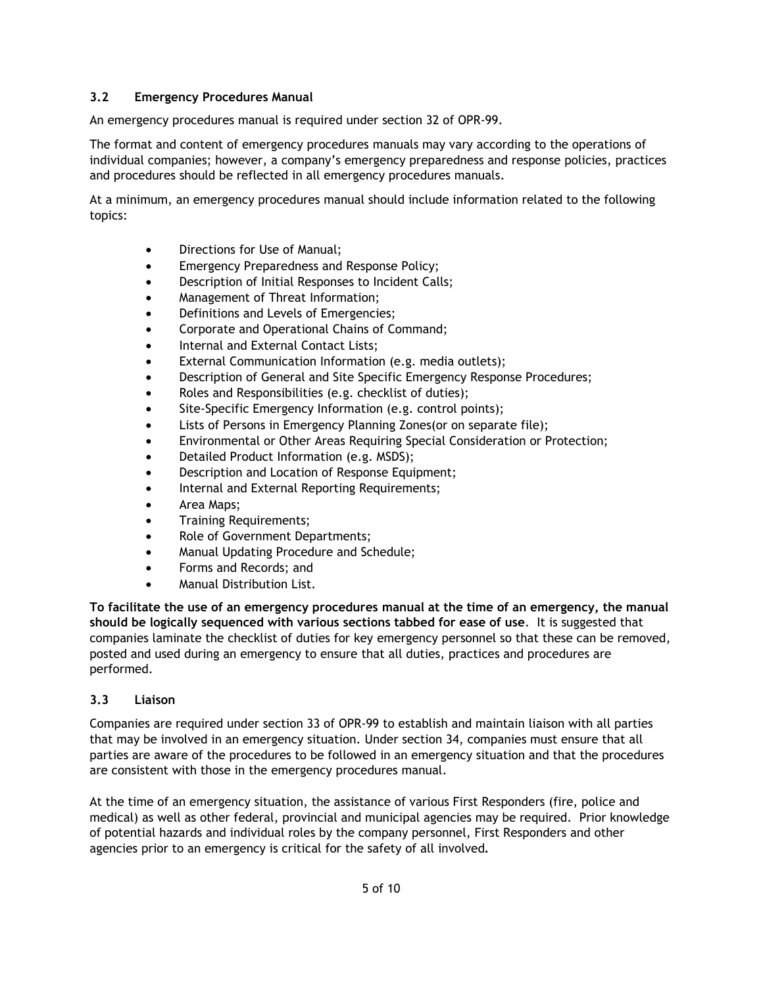### **3.2 Emergency Procedures Manual**

An emergency procedures manual is required under section 32 of OPR-99.

The format and content of emergency procedures manuals may vary according to the operations of individual companies; however, a company's emergency preparedness and response policies, practices and procedures should be reflected in all emergency procedures manuals.

At a minimum, an emergency procedures manual should include information related to the following topics:

- Directions for Use of Manual;
- Emergency Preparedness and Response Policy;
- Description of Initial Responses to Incident Calls;
- Management of Threat Information;
- Definitions and Levels of Emergencies;
- Corporate and Operational Chains of Command;
- Internal and External Contact Lists:
- External Communication Information (e.g. media outlets);
- Description of General and Site Specific Emergency Response Procedures;
- Roles and Responsibilities (e.g. checklist of duties);
- Site-Specific Emergency Information (e.g. control points);
- Lists of Persons in Emergency Planning Zones(or on separate file);
- Environmental or Other Areas Requiring Special Consideration or Protection;
- Detailed Product Information (e.g. MSDS);
- Description and Location of Response Equipment;
- Internal and External Reporting Requirements;
- Area Maps;
- Training Requirements;
- Role of Government Departments;
- Manual Updating Procedure and Schedule;
- Forms and Records; and
- Manual Distribution List.

**To facilitate the use of an emergency procedures manual at the time of an emergency, the manual should be logically sequenced with various sections tabbed for ease of use**. It is suggested that companies laminate the checklist of duties for key emergency personnel so that these can be removed, posted and used during an emergency to ensure that all duties, practices and procedures are performed.

#### **3.3 Liaison**

Companies are required under section 33 of OPR-99 to establish and maintain liaison with all parties that may be involved in an emergency situation. Under section 34, companies must ensure that all parties are aware of the procedures to be followed in an emergency situation and that the procedures are consistent with those in the emergency procedures manual.

At the time of an emergency situation, the assistance of various First Responders (fire, police and medical) as well as other federal, provincial and municipal agencies may be required. Prior knowledge of potential hazards and individual roles by the company personnel, First Responders and other agencies prior to an emergency is critical for the safety of all involved**.**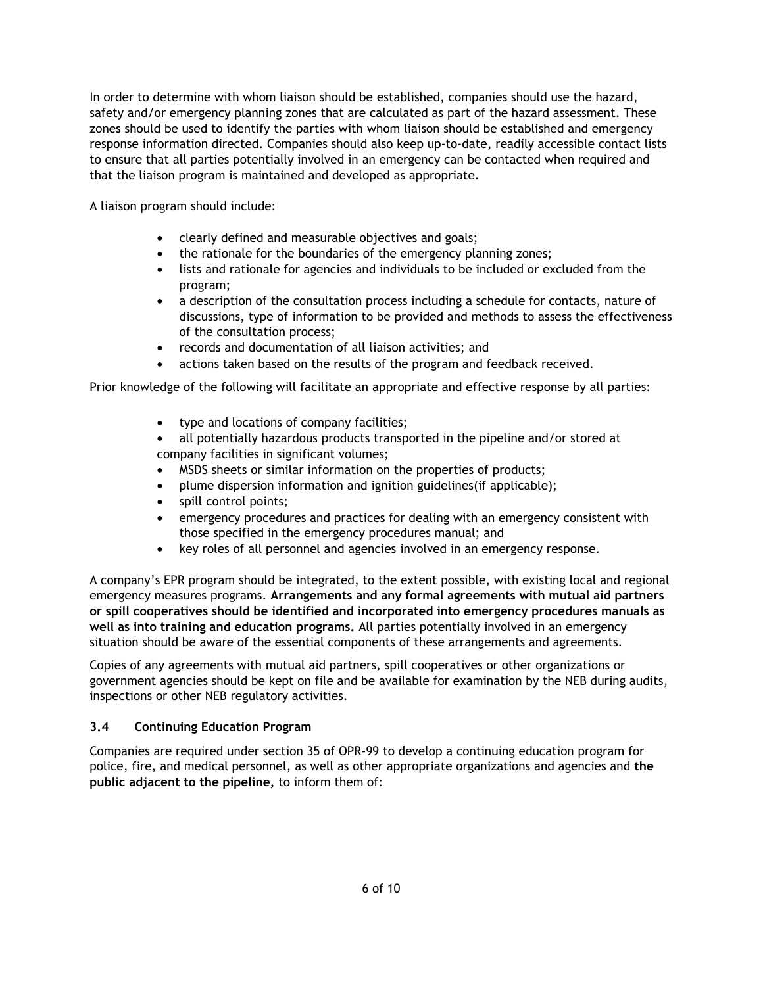In order to determine with whom liaison should be established, companies should use the hazard, safety and/or emergency planning zones that are calculated as part of the hazard assessment. These zones should be used to identify the parties with whom liaison should be established and emergency response information directed. Companies should also keep up-to-date, readily accessible contact lists to ensure that all parties potentially involved in an emergency can be contacted when required and that the liaison program is maintained and developed as appropriate.

A liaison program should include:

- clearly defined and measurable objectives and goals;
- the rationale for the boundaries of the emergency planning zones;
- lists and rationale for agencies and individuals to be included or excluded from the program;
- a description of the consultation process including a schedule for contacts, nature of discussions, type of information to be provided and methods to assess the effectiveness of the consultation process;
- records and documentation of all liaison activities; and
- actions taken based on the results of the program and feedback received.

Prior knowledge of the following will facilitate an appropriate and effective response by all parties:

- type and locations of company facilities;
- all potentially hazardous products transported in the pipeline and/or stored at company facilities in significant volumes;
- MSDS sheets or similar information on the properties of products;
- plume dispersion information and ignition guidelines(if applicable);
- spill control points;
- emergency procedures and practices for dealing with an emergency consistent with those specified in the emergency procedures manual; and
- key roles of all personnel and agencies involved in an emergency response.

A company's EPR program should be integrated, to the extent possible, with existing local and regional emergency measures programs. **Arrangements and any formal agreements with mutual aid partners or spill cooperatives should be identified and incorporated into emergency procedures manuals as well as into training and education programs.** All parties potentially involved in an emergency situation should be aware of the essential components of these arrangements and agreements.

Copies of any agreements with mutual aid partners, spill cooperatives or other organizations or government agencies should be kept on file and be available for examination by the NEB during audits, inspections or other NEB regulatory activities.

## **3.4 Continuing Education Program**

Companies are required under section 35 of OPR-99 to develop a continuing education program for police, fire, and medical personnel, as well as other appropriate organizations and agencies and **the public adjacent to the pipeline,** to inform them of: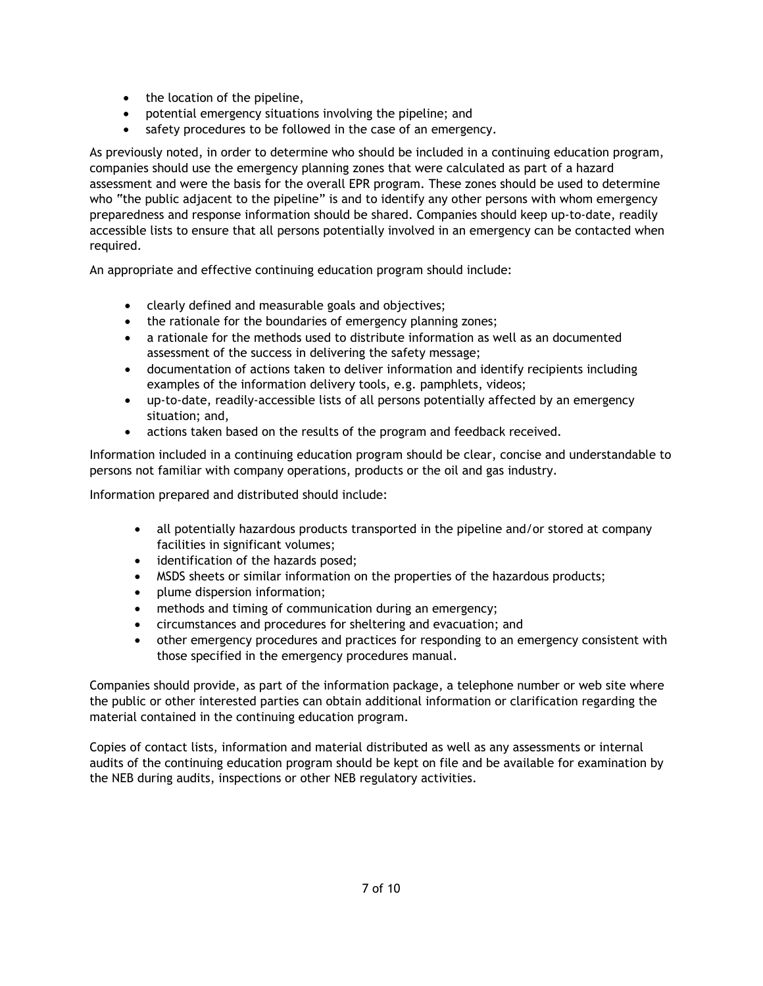- the location of the pipeline,
- potential emergency situations involving the pipeline; and
- safety procedures to be followed in the case of an emergency.

As previously noted, in order to determine who should be included in a continuing education program, companies should use the emergency planning zones that were calculated as part of a hazard assessment and were the basis for the overall EPR program. These zones should be used to determine who "the public adjacent to the pipeline" is and to identify any other persons with whom emergency preparedness and response information should be shared. Companies should keep up-to-date, readily accessible lists to ensure that all persons potentially involved in an emergency can be contacted when required.

An appropriate and effective continuing education program should include:

- clearly defined and measurable goals and objectives;
- the rationale for the boundaries of emergency planning zones;
- a rationale for the methods used to distribute information as well as an documented assessment of the success in delivering the safety message;
- documentation of actions taken to deliver information and identify recipients including examples of the information delivery tools, e.g. pamphlets, videos;
- up-to-date, readily-accessible lists of all persons potentially affected by an emergency situation; and,
- actions taken based on the results of the program and feedback received.

Information included in a continuing education program should be clear, concise and understandable to persons not familiar with company operations, products or the oil and gas industry.

Information prepared and distributed should include:

- all potentially hazardous products transported in the pipeline and/or stored at company facilities in significant volumes;
- identification of the hazards posed;
- MSDS sheets or similar information on the properties of the hazardous products;
- plume dispersion information;
- methods and timing of communication during an emergency;
- circumstances and procedures for sheltering and evacuation; and
- other emergency procedures and practices for responding to an emergency consistent with those specified in the emergency procedures manual.

Companies should provide, as part of the information package, a telephone number or web site where the public or other interested parties can obtain additional information or clarification regarding the material contained in the continuing education program.

Copies of contact lists, information and material distributed as well as any assessments or internal audits of the continuing education program should be kept on file and be available for examination by the NEB during audits, inspections or other NEB regulatory activities.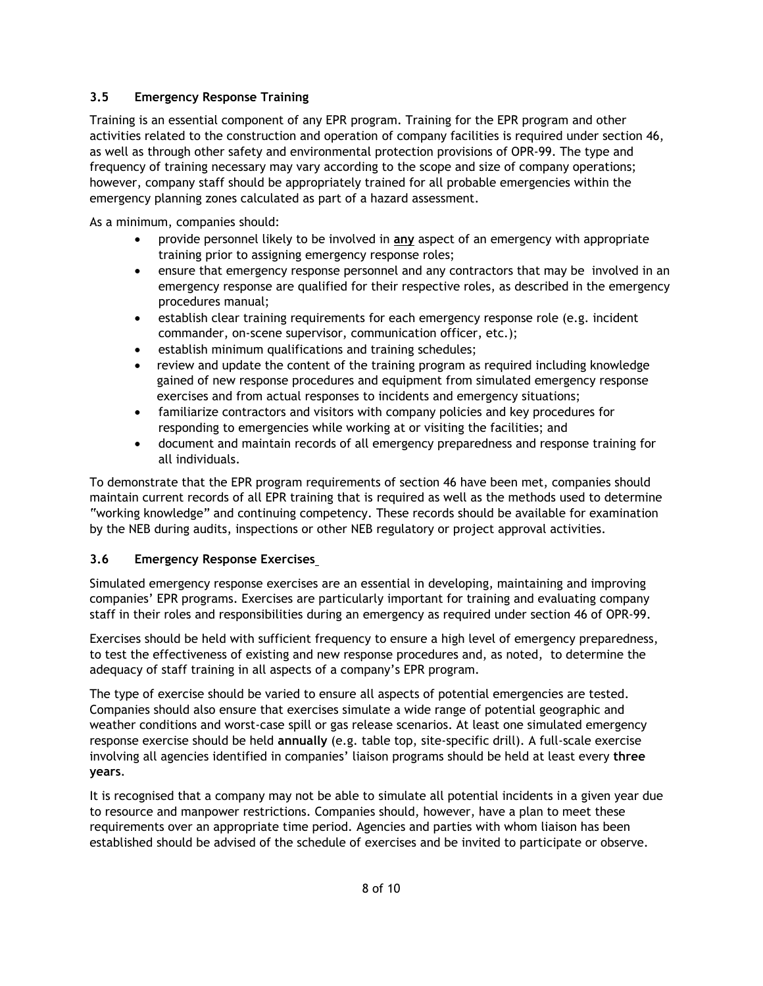## **3.5 Emergency Response Training**

Training is an essential component of any EPR program. Training for the EPR program and other activities related to the construction and operation of company facilities is required under section 46, as well as through other safety and environmental protection provisions of OPR-99. The type and frequency of training necessary may vary according to the scope and size of company operations; however, company staff should be appropriately trained for all probable emergencies within the emergency planning zones calculated as part of a hazard assessment.

As a minimum, companies should:

- provide personnel likely to be involved in **any** aspect of an emergency with appropriate training prior to assigning emergency response roles;
- ensure that emergency response personnel and any contractors that may be involved in an emergency response are qualified for their respective roles, as described in the emergency procedures manual;
- establish clear training requirements for each emergency response role (e.g. incident commander, on-scene supervisor, communication officer, etc.);
- establish minimum qualifications and training schedules;
- review and update the content of the training program as required including knowledge gained of new response procedures and equipment from simulated emergency response exercises and from actual responses to incidents and emergency situations;
- familiarize contractors and visitors with company policies and key procedures for responding to emergencies while working at or visiting the facilities; and
- document and maintain records of all emergency preparedness and response training for all individuals.

To demonstrate that the EPR program requirements of section 46 have been met, companies should maintain current records of all EPR training that is required as well as the methods used to determine "working knowledge" and continuing competency. These records should be available for examination by the NEB during audits, inspections or other NEB regulatory or project approval activities.

## **3.6 Emergency Response Exercises**

Simulated emergency response exercises are an essential in developing, maintaining and improving companies' EPR programs. Exercises are particularly important for training and evaluating company staff in their roles and responsibilities during an emergency as required under section 46 of OPR-99.

Exercises should be held with sufficient frequency to ensure a high level of emergency preparedness, to test the effectiveness of existing and new response procedures and, as noted, to determine the adequacy of staff training in all aspects of a company's EPR program.

The type of exercise should be varied to ensure all aspects of potential emergencies are tested. Companies should also ensure that exercises simulate a wide range of potential geographic and weather conditions and worst-case spill or gas release scenarios. At least one simulated emergency response exercise should be held **annually** (e.g. table top, site-specific drill). A full-scale exercise involving all agencies identified in companies' liaison programs should be held at least every **three years**.

It is recognised that a company may not be able to simulate all potential incidents in a given year due to resource and manpower restrictions. Companies should, however, have a plan to meet these requirements over an appropriate time period. Agencies and parties with whom liaison has been established should be advised of the schedule of exercises and be invited to participate or observe.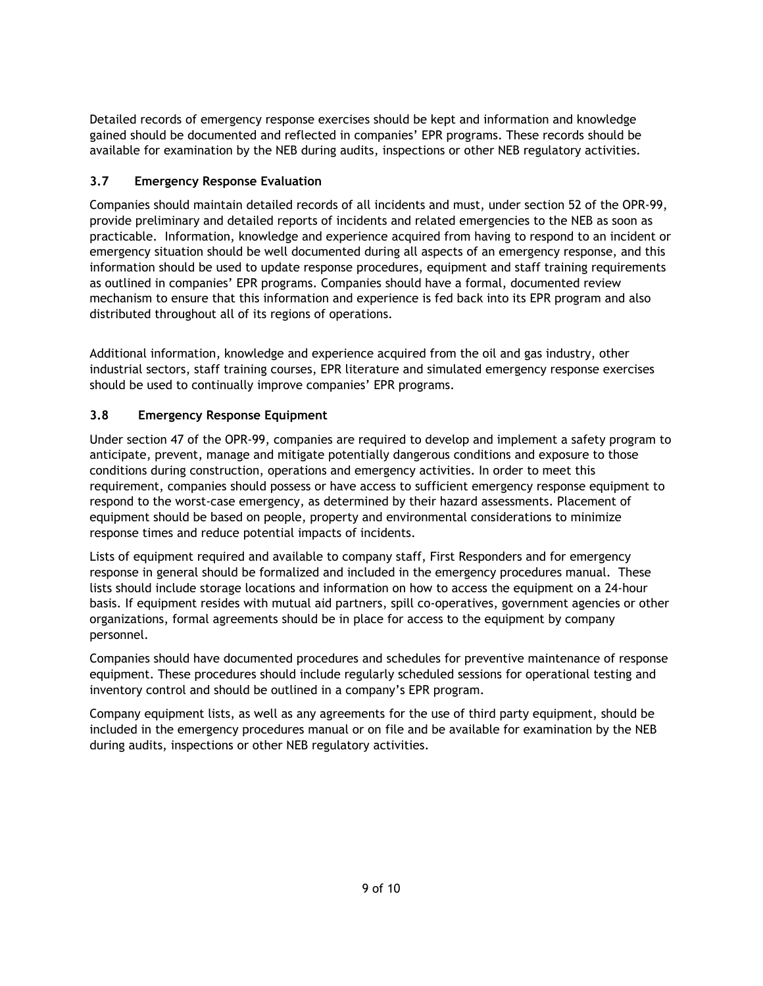Detailed records of emergency response exercises should be kept and information and knowledge gained should be documented and reflected in companies' EPR programs. These records should be available for examination by the NEB during audits, inspections or other NEB regulatory activities.

## **3.7 Emergency Response Evaluation**

Companies should maintain detailed records of all incidents and must, under section 52 of the OPR-99, provide preliminary and detailed reports of incidents and related emergencies to the NEB as soon as practicable. Information, knowledge and experience acquired from having to respond to an incident or emergency situation should be well documented during all aspects of an emergency response, and this information should be used to update response procedures, equipment and staff training requirements as outlined in companies' EPR programs. Companies should have a formal, documented review mechanism to ensure that this information and experience is fed back into its EPR program and also distributed throughout all of its regions of operations.

Additional information, knowledge and experience acquired from the oil and gas industry, other industrial sectors, staff training courses, EPR literature and simulated emergency response exercises should be used to continually improve companies' EPR programs.

## **3.8 Emergency Response Equipment**

Under section 47 of the OPR-99, companies are required to develop and implement a safety program to anticipate, prevent, manage and mitigate potentially dangerous conditions and exposure to those conditions during construction, operations and emergency activities. In order to meet this requirement, companies should possess or have access to sufficient emergency response equipment to respond to the worst-case emergency, as determined by their hazard assessments. Placement of equipment should be based on people, property and environmental considerations to minimize response times and reduce potential impacts of incidents.

Lists of equipment required and available to company staff, First Responders and for emergency response in general should be formalized and included in the emergency procedures manual. These lists should include storage locations and information on how to access the equipment on a 24-hour basis. If equipment resides with mutual aid partners, spill co-operatives, government agencies or other organizations, formal agreements should be in place for access to the equipment by company personnel.

Companies should have documented procedures and schedules for preventive maintenance of response equipment. These procedures should include regularly scheduled sessions for operational testing and inventory control and should be outlined in a company's EPR program.

Company equipment lists, as well as any agreements for the use of third party equipment, should be included in the emergency procedures manual or on file and be available for examination by the NEB during audits, inspections or other NEB regulatory activities.